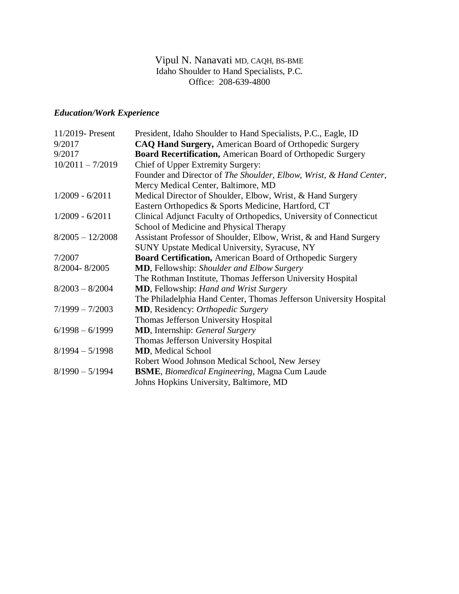Vipul N. Nanavati MD, CAQH, BS-BME Idaho Shoulder to Hand Specialists, P.C. Office: 208-639-4800

# *Education/Work Experience*

| CAQ Hand Surgery, American Board of Orthopedic Surgery             |
|--------------------------------------------------------------------|
| Board Recertification, American Board of Orthopedic Surgery        |
|                                                                    |
| Founder and Director of The Shoulder, Elbow, Wrist, & Hand Center, |
|                                                                    |
| Medical Director of Shoulder, Elbow, Wrist, & Hand Surgery         |
| Eastern Orthopedics & Sports Medicine, Hartford, CT                |
| Clinical Adjunct Faculty of Orthopedics, University of Connecticut |
|                                                                    |
| Assistant Professor of Shoulder, Elbow, Wrist, & and Hand Surgery  |
|                                                                    |
| <b>Board Certification, American Board of Orthopedic Surgery</b>   |
|                                                                    |
| The Rothman Institute, Thomas Jefferson University Hospital        |
|                                                                    |
| The Philadelphia Hand Center, Thomas Jefferson University Hospital |
|                                                                    |
|                                                                    |
|                                                                    |
|                                                                    |
|                                                                    |
| Robert Wood Johnson Medical School, New Jersey                     |
| <b>BSME</b> , Biomedical Engineering, Magna Cum Laude              |
|                                                                    |
|                                                                    |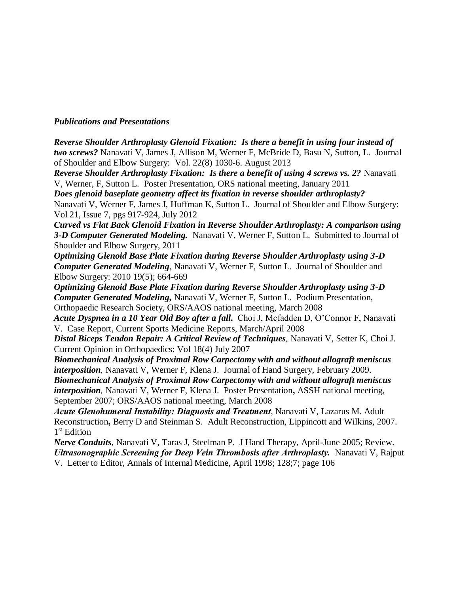### *Publications and Presentations*

*Reverse Shoulder Arthroplasty Glenoid Fixation: Is there a benefit in using four instead of two screws?* Nanavati V, James J, Allison M, Werner F, McBride D, Basu N, Sutton, L. Journal of Shoulder and Elbow Surgery: Vol. 22(8) 1030-6. August 2013

*Reverse Shoulder Arthroplasty Fixation: Is there a benefit of using 4 screws vs. 2?* Nanavati V, Werner, F, Sutton L. Poster Presentation, ORS national meeting, January 2011

*Does glenoid baseplate geometry affect its fixation in reverse shoulder arthroplasty?* Nanavati V, Werner F, James J, Huffman K, Sutton L. Journal of Shoulder and Elbow Surgery: Vol 21, Issue 7, pgs 917-924, July 2012

*Curved vs Flat Back Glenoid Fixation in Reverse Shoulder Arthroplasty: A comparison using 3-D Computer Generated Modeling.* Nanavati V, Werner F, Sutton L. Submitted to Journal of Shoulder and Elbow Surgery, 2011

*Optimizing Glenoid Base Plate Fixation during Reverse Shoulder Arthroplasty using 3-D Computer Generated Modeling*, Nanavati V, Werner F, Sutton L. Journal of Shoulder and Elbow Surgery: 2010 19(5); 664-669

*Optimizing Glenoid Base Plate Fixation during Reverse Shoulder Arthroplasty using 3-D Computer Generated Modeling,* Nanavati V, Werner F, Sutton L. Podium Presentation, Orthopaedic Research Society, ORS/AAOS national meeting, March 2008

*Acute Dyspnea in a 10 Year Old Boy after a fall.* Choi J, Mcfadden D, O'Connor F, Nanavati V. Case Report, Current Sports Medicine Reports, March/April 2008

*Distal Biceps Tendon Repair: A Critical Review of Techniques,* Nanavati V, Setter K, Choi J. Current Opinion in Orthopaedics: Vol 18(4) July 2007

*Biomechanical Analysis of Proximal Row Carpectomy with and without allograft meniscus interposition,* Nanavati V, Werner F, Klena J. Journal of Hand Surgery, February 2009.

*Biomechanical Analysis of Proximal Row Carpectomy with and without allograft meniscus interposition,* Nanavati V, Werner F, Klena J. Poster Presentation**,** ASSH national meeting, September 2007; ORS/AAOS national meeting, March 2008

*Acute Glenohumeral Instability: Diagnosis and Treatment*, Nanavati V, Lazarus M. Adult Reconstruction**,** Berry D and Steinman S. Adult Reconstruction, Lippincott and Wilkins, 2007. 1 st Edition

*Nerve Conduits*, Nanavati V, Taras J, Steelman P. J Hand Therapy, April-June 2005; Review. *Ultrasonographic Screening for Deep Vein Thrombosis after Arthroplasty.* Nanavati V, Rajput V. Letter to Editor, Annals of Internal Medicine, April 1998; 128;7; page 106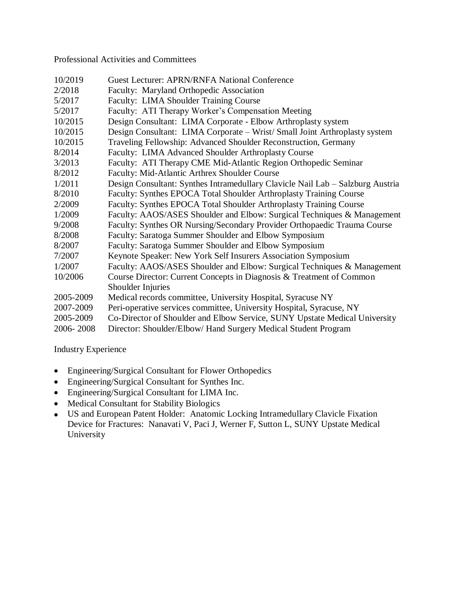Professional Activities and Committees

| 10/2019   | <b>Guest Lecturer: APRN/RNFA National Conference</b>                           |
|-----------|--------------------------------------------------------------------------------|
| 2/2018    | Faculty: Maryland Orthopedic Association                                       |
| 5/2017    | Faculty: LIMA Shoulder Training Course                                         |
| 5/2017    | Faculty: ATI Therapy Worker's Compensation Meeting                             |
| 10/2015   | Design Consultant: LIMA Corporate - Elbow Arthroplasty system                  |
| 10/2015   | Design Consultant: LIMA Corporate - Wrist/Small Joint Arthroplasty system      |
| 10/2015   | Traveling Fellowship: Advanced Shoulder Reconstruction, Germany                |
| 8/2014    | Faculty: LIMA Advanced Shoulder Arthroplasty Course                            |
| 3/2013    | Faculty: ATI Therapy CME Mid-Atlantic Region Orthopedic Seminar                |
| 8/2012    | Faculty: Mid-Atlantic Arthrex Shoulder Course                                  |
| 1/2011    | Design Consultant: Synthes Intramedullary Clavicle Nail Lab – Salzburg Austria |
| 8/2010    | Faculty: Synthes EPOCA Total Shoulder Arthroplasty Training Course             |
| 2/2009    | Faculty: Synthes EPOCA Total Shoulder Arthroplasty Training Course             |
| 1/2009    | Faculty: AAOS/ASES Shoulder and Elbow: Surgical Techniques & Management        |
| 9/2008    | Faculty: Synthes OR Nursing/Secondary Provider Orthopaedic Trauma Course       |
| 8/2008    | Faculty: Saratoga Summer Shoulder and Elbow Symposium                          |
| 8/2007    | Faculty: Saratoga Summer Shoulder and Elbow Symposium                          |
| 7/2007    | Keynote Speaker: New York Self Insurers Association Symposium                  |
| 1/2007    | Faculty: AAOS/ASES Shoulder and Elbow: Surgical Techniques & Management        |
| 10/2006   | Course Director: Current Concepts in Diagnosis & Treatment of Common           |
|           | Shoulder Injuries                                                              |
| 2005-2009 | Medical records committee, University Hospital, Syracuse NY                    |
| 2007-2009 | Peri-operative services committee, University Hospital, Syracuse, NY           |
| 2005-2009 | Co-Director of Shoulder and Elbow Service, SUNY Upstate Medical University     |
| 2006-2008 | Director: Shoulder/Elbow/ Hand Surgery Medical Student Program                 |

Industry Experience

- Engineering/Surgical Consultant for Flower Orthopedics
- Engineering/Surgical Consultant for Synthes Inc.
- Engineering/Surgical Consultant for LIMA Inc.
- Medical Consultant for Stability Biologics
- US and European Patent Holder: Anatomic Locking Intramedullary Clavicle Fixation Device for Fractures: Nanavati V, Paci J, Werner F, Sutton L, SUNY Upstate Medical University